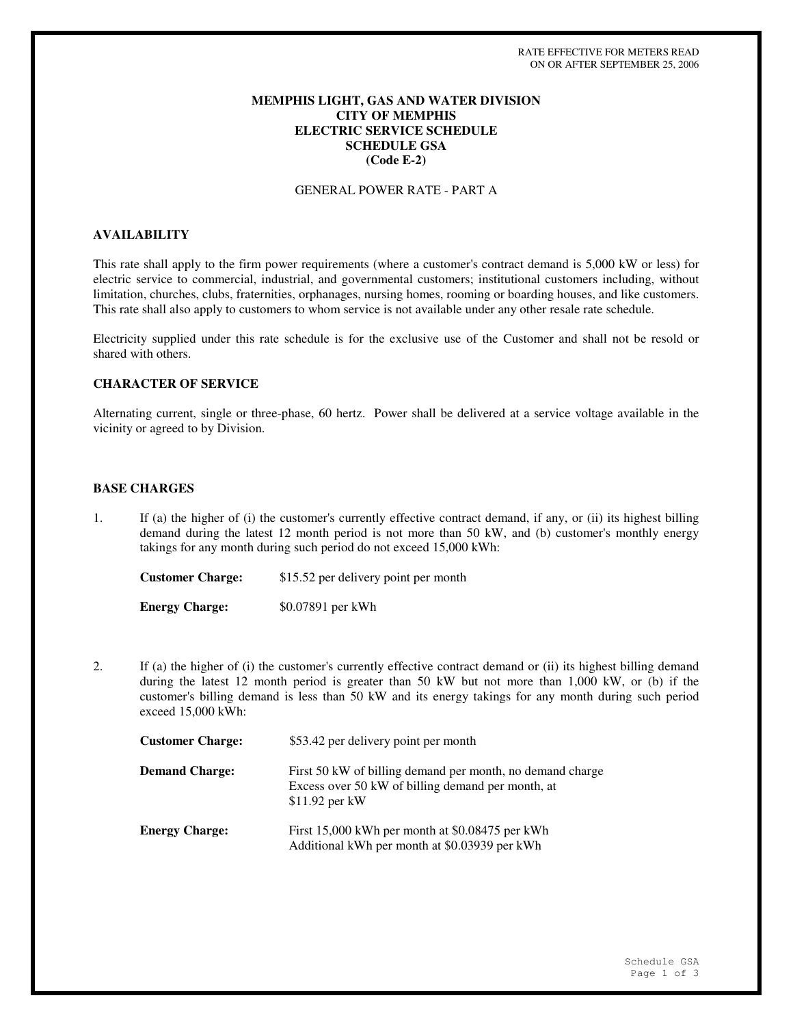## **MEMPHIS LIGHT, GAS AND WATER DIVISION CITY OF MEMPHIS ELECTRIC SERVICE SCHEDULE SCHEDULE GSA (Code E-2)**

#### GENERAL POWER RATE - PART A

# **AVAILABILITY**

This rate shall apply to the firm power requirements (where a customer's contract demand is 5,000 kW or less) for electric service to commercial, industrial, and governmental customers; institutional customers including, without limitation, churches, clubs, fraternities, orphanages, nursing homes, rooming or boarding houses, and like customers. This rate shall also apply to customers to whom service is not available under any other resale rate schedule.

Electricity supplied under this rate schedule is for the exclusive use of the Customer and shall not be resold or shared with others.

# **CHARACTER OF SERVICE**

Alternating current, single or three-phase, 60 hertz. Power shall be delivered at a service voltage available in the vicinity or agreed to by Division.

#### **BASE CHARGES**

1. If (a) the higher of (i) the customer's currently effective contract demand, if any, or (ii) its highest billing demand during the latest 12 month period is not more than 50 kW, and (b) customer's monthly energy takings for any month during such period do not exceed 15,000 kWh:

**Customer Charge:** \$15.52 per delivery point per month **Energy Charge:** \$0.07891 per kWh

2. If (a) the higher of (i) the customer's currently effective contract demand or (ii) its highest billing demand during the latest 12 month period is greater than 50 kW but not more than 1,000 kW, or (b) if the customer's billing demand is less than 50 kW and its energy takings for any month during such period exceed 15,000 kWh:

| <b>Customer Charge:</b> | \$53.42 per delivery point per month                                                                                              |
|-------------------------|-----------------------------------------------------------------------------------------------------------------------------------|
| <b>Demand Charge:</b>   | First 50 kW of billing demand per month, no demand charge<br>Excess over 50 kW of billing demand per month, at<br>$$11.92$ per kW |
| <b>Energy Charge:</b>   | First 15,000 kWh per month at \$0.08475 per kWh<br>Additional kWh per month at \$0.03939 per kWh                                  |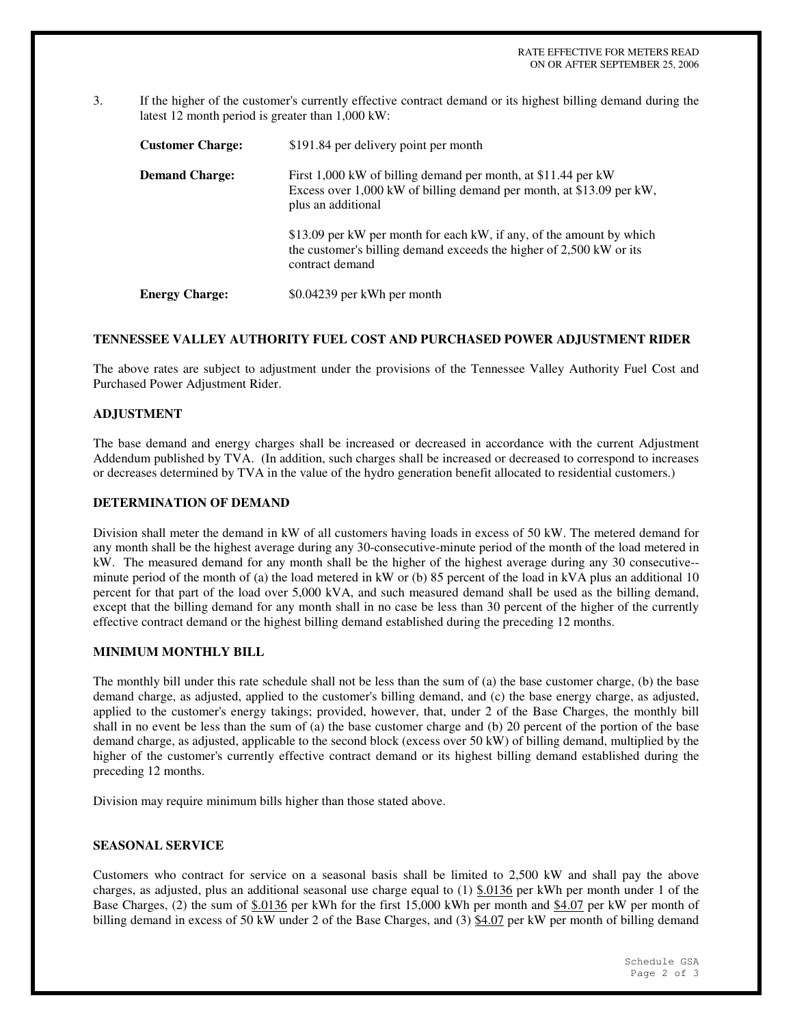3. If the higher of the customer's currently effective contract demand or its highest billing demand during the latest 12 month period is greater than 1,000 kW:

| <b>Customer Charge:</b> | \$191.84 per delivery point per month                                                                                                                          |
|-------------------------|----------------------------------------------------------------------------------------------------------------------------------------------------------------|
| <b>Demand Charge:</b>   | First 1,000 kW of billing demand per month, at \$11.44 per kW<br>Excess over 1,000 kW of billing demand per month, at \$13.09 per kW,<br>plus an additional    |
|                         | \$13.09 per kW per month for each kW, if any, of the amount by which<br>the customer's billing demand exceeds the higher of 2,500 kW or its<br>contract demand |
| <b>Energy Charge:</b>   | \$0.04239 per kWh per month                                                                                                                                    |

#### **TENNESSEE VALLEY AUTHORITY FUEL COST AND PURCHASED POWER ADJUSTMENT RIDER**

The above rates are subject to adjustment under the provisions of the Tennessee Valley Authority Fuel Cost and Purchased Power Adjustment Rider.

## **ADJUSTMENT**

The base demand and energy charges shall be increased or decreased in accordance with the current Adjustment Addendum published by TVA. (In addition, such charges shall be increased or decreased to correspond to increases or decreases determined by TVA in the value of the hydro generation benefit allocated to residential customers.)

#### **DETERMINATION OF DEMAND**

Division shall meter the demand in kW of all customers having loads in excess of 50 kW. The metered demand for any month shall be the highest average during any 30-consecutive-minute period of the month of the load metered in kW. The measured demand for any month shall be the higher of the highest average during any 30 consecutive- minute period of the month of (a) the load metered in kW or (b) 85 percent of the load in kVA plus an additional 10 percent for that part of the load over 5,000 kVA, and such measured demand shall be used as the billing demand, except that the billing demand for any month shall in no case be less than 30 percent of the higher of the currently effective contract demand or the highest billing demand established during the preceding 12 months.

## **MINIMUM MONTHLY BILL**

The monthly bill under this rate schedule shall not be less than the sum of (a) the base customer charge, (b) the base demand charge, as adjusted, applied to the customer's billing demand, and (c) the base energy charge, as adjusted, applied to the customer's energy takings; provided, however, that, under 2 of the Base Charges, the monthly bill shall in no event be less than the sum of (a) the base customer charge and (b) 20 percent of the portion of the base demand charge, as adjusted, applicable to the second block (excess over 50 kW) of billing demand, multiplied by the higher of the customer's currently effective contract demand or its highest billing demand established during the preceding 12 months.

Division may require minimum bills higher than those stated above.

#### **SEASONAL SERVICE**

Customers who contract for service on a seasonal basis shall be limited to 2,500 kW and shall pay the above charges, as adjusted, plus an additional seasonal use charge equal to  $(1)$  \$.0136 per kWh per month under 1 of the Base Charges, (2) the sum of \$.0136 per kWh for the first 15,000 kWh per month and \$4.07 per kW per month of billing demand in excess of 50 kW under 2 of the Base Charges, and (3) \$4.07 per kW per month of billing demand